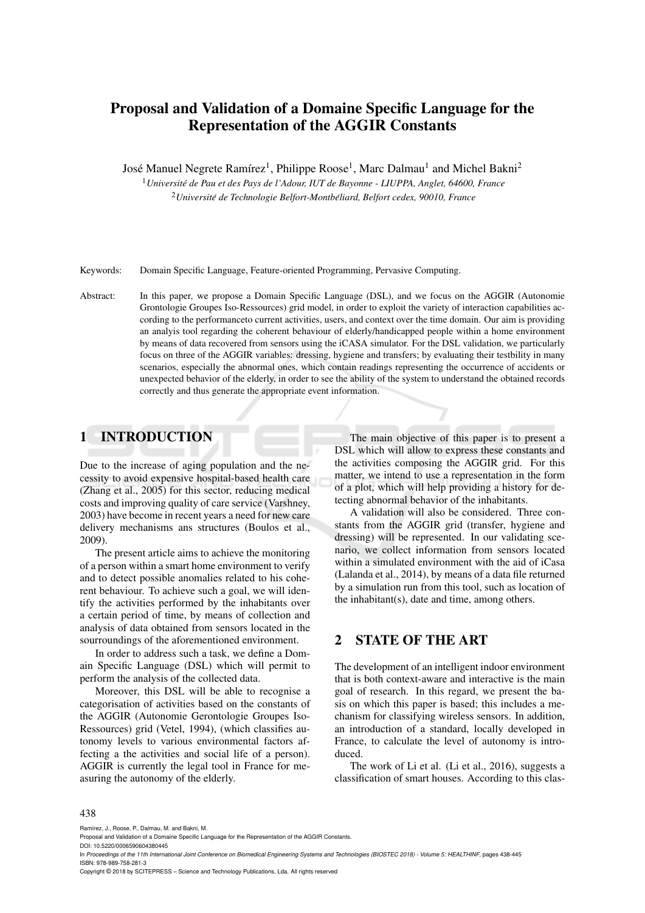# Proposal and Validation of a Domaine Specific Language for the Representation of the AGGIR Constants

José Manuel Negrete Ramírez<sup>1</sup>, Philippe Roose<sup>1</sup>, Marc Dalmau<sup>1</sup> and Michel Bakni<sup>2</sup>

<sup>1</sup>*Universite de Pau et des Pays de l'Adour, IUT de Bayonne - LIUPPA, Anglet, 64600, France ´* <sup>2</sup>*Universite de Technologie Belfort-Montb ´ eliard, Belfort cedex, 90010, France ´*

Keywords: Domain Specific Language, Feature-oriented Programming, Pervasive Computing.

Abstract: In this paper, we propose a Domain Specific Language (DSL), and we focus on the AGGIR (Autonomie Grontologie Groupes Iso-Ressources) grid model, in order to exploit the variety of interaction capabilities according to the performanceto current activities, users, and context over the time domain. Our aim is providing an analyis tool regarding the coherent behaviour of elderly/handicapped people within a home environment by means of data recovered from sensors using the iCASA simulator. For the DSL validation, we particularly focus on three of the AGGIR variables: dressing, hygiene and transfers; by evaluating their testbility in many scenarios, especially the abnormal ones, which contain readings representing the occurrence of accidents or unexpected behavior of the elderly, in order to see the ability of the system to understand the obtained records correctly and thus generate the appropriate event information.

# 1 INTRODUCTION

Due to the increase of aging population and the necessity to avoid expensive hospital-based health care (Zhang et al., 2005) for this sector, reducing medical costs and improving quality of care service (Varshney, 2003) have become in recent years a need for new care delivery mechanisms ans structures (Boulos et al., 2009).

The present article aims to achieve the monitoring of a person within a smart home environment to verify and to detect possible anomalies related to his coherent behaviour. To achieve such a goal, we will identify the activities performed by the inhabitants over a certain period of time, by means of collection and analysis of data obtained from sensors located in the sourroundings of the aforementioned environment.

In order to address such a task, we define a Domain Specific Language (DSL) which will permit to perform the analysis of the collected data.

Moreover, this DSL will be able to recognise a categorisation of activities based on the constants of the AGGIR (Autonomie Gerontologie Groupes Iso-Ressources) grid (Vetel, 1994), (which classifies autonomy levels to various environmental factors affecting a the activities and social life of a person). AGGIR is currently the legal tool in France for measuring the autonomy of the elderly.

The main objective of this paper is to present a DSL which will allow to express these constants and the activities composing the AGGIR grid. For this matter, we intend to use a representation in the form of a plot, which will help providing a history for detecting abnormal behavior of the inhabitants.

A validation will also be considered. Three constants from the AGGIR grid (transfer, hygiene and dressing) will be represented. In our validating scenario, we collect information from sensors located within a simulated environment with the aid of iCasa (Lalanda et al., 2014), by means of a data file returned by a simulation run from this tool, such as location of the inhabitant(s), date and time, among others.

### 2 STATE OF THE ART

The development of an intelligent indoor environment that is both context-aware and interactive is the main goal of research. In this regard, we present the basis on which this paper is based; this includes a mechanism for classifying wireless sensors. In addition, an introduction of a standard, locally developed in France, to calculate the level of autonomy is introduced.

The work of Li et al. (Li et al., 2016), suggests a classification of smart houses. According to this clas-

#### 438

Ramírez, J., Roose, P., Dalmau, M. and Bakni, M.

In *Proceedings of the 11th International Joint Conference on Biomedical Engineering Systems and Technologies (BIOSTEC 2018) - Volume 5: HEALTHINF*, pages 438-445 ISBN: 978-989-758-281-3

Copyright © 2018 by SCITEPRESS – Science and Technology Publications, Lda. All rights reserved

Proposal and Validation of a Domaine Specific Language for the Representation of the AGGIR Constants.

DOI: 10.5220/0006590604380445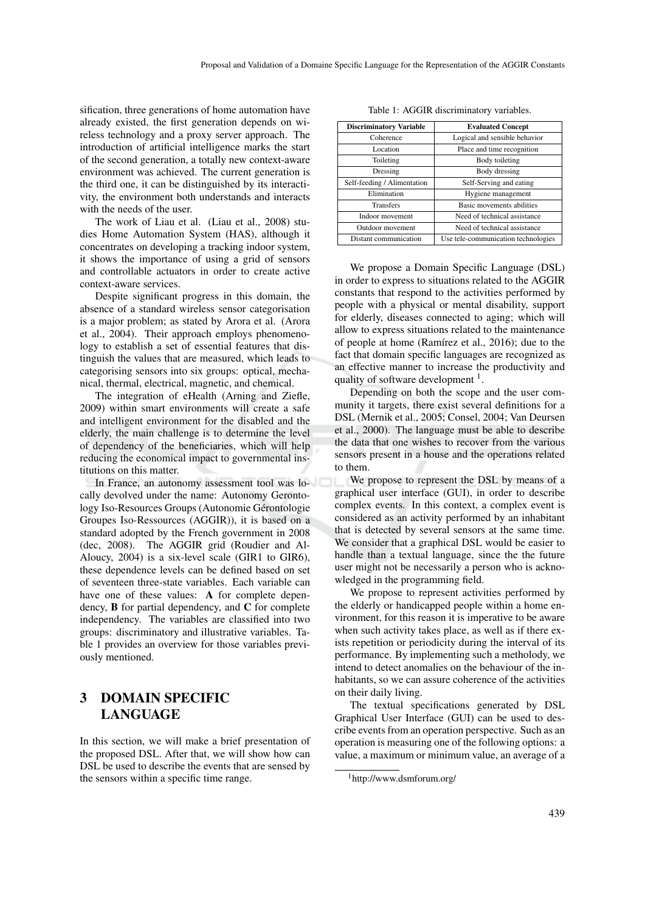sification, three generations of home automation have already existed, the first generation depends on wireless technology and a proxy server approach. The introduction of artificial intelligence marks the start of the second generation, a totally new context-aware environment was achieved. The current generation is the third one, it can be distinguished by its interactivity, the environment both understands and interacts with the needs of the user.

The work of Liau et al. (Liau et al., 2008) studies Home Automation System (HAS), although it concentrates on developing a tracking indoor system, it shows the importance of using a grid of sensors and controllable actuators in order to create active context-aware services.

Despite significant progress in this domain, the absence of a standard wireless sensor categorisation is a major problem; as stated by Arora et al. (Arora et al., 2004). Their approach employs phenomenology to establish a set of essential features that distinguish the values that are measured, which leads to categorising sensors into six groups: optical, mechanical, thermal, electrical, magnetic, and chemical.

The integration of eHealth (Arning and Ziefle, 2009) within smart environments will create a safe and intelligent environment for the disabled and the elderly, the main challenge is to determine the level of dependency of the beneficiaries, which will help reducing the economical impact to governmental institutions on this matter.

In France, an autonomy assessment tool was locally devolved under the name: Autonomy Gerontology Iso-Resources Groups (Autonomie Gérontologie Groupes Iso-Ressources (AGGIR)), it is based on a standard adopted by the French government in 2008 (dec, 2008). The AGGIR grid (Roudier and Al-Aloucy, 2004) is a six-level scale (GIR1 to GIR6), these dependence levels can be defined based on set of seventeen three-state variables. Each variable can have one of these values: A for complete dependency,  $\bf{B}$  for partial dependency, and  $\bf{C}$  for complete independency. The variables are classified into two groups: discriminatory and illustrative variables. Table 1 provides an overview for those variables previously mentioned.

## 3 DOMAIN SPECIFIC LANGUAGE

In this section, we will make a brief presentation of the proposed DSL. After that, we will show how can DSL be used to describe the events that are sensed by the sensors within a specific time range.

| <b>Discriminatory Variable</b> | <b>Evaluated Concept</b>      |
|--------------------------------|-------------------------------|
| Coherence                      | Logical and sensible behavior |
| Location                       | Place and time recognition    |
| Toileting                      | Body toileting                |
| Dressing                       | Body dressing                 |
| Self-feeding / Alimentation    | Self-Serving and eating       |
| Elimination                    | Hygiene management            |
| <b>Transfers</b>               | Basic movements abilities     |
| Indoor movement                | Need of technical assistance  |
| Outdoor movement               | Need of technical assistance  |

Distant communication Use tele-communication technologies

Table 1: AGGIR discriminatory variables.

We propose a Domain Specific Language (DSL) in order to express to situations related to the AGGIR constants that respond to the activities performed by people with a physical or mental disability, support for elderly, diseases connected to aging; which will allow to express situations related to the maintenance of people at home (Ramírez et al.,  $2016$ ); due to the fact that domain specific languages are recognized as an effective manner to increase the productivity and quality of software development<sup>1</sup>.

Depending on both the scope and the user community it targets, there exist several definitions for a DSL (Mernik et al., 2005; Consel, 2004; Van Deursen et al., 2000). The language must be able to describe the data that one wishes to recover from the various sensors present in a house and the operations related to them.

We propose to represent the DSL by means of a graphical user interface (GUI), in order to describe complex events. In this context, a complex event is considered as an activity performed by an inhabitant that is detected by several sensors at the same time. We consider that a graphical DSL would be easier to handle than a textual language, since the the future user might not be necessarily a person who is acknowledged in the programming field.

We propose to represent activities performed by the elderly or handicapped people within a home environment, for this reason it is imperative to be aware when such activity takes place, as well as if there exists repetition or periodicity during the interval of its performance. By implementing such a metholody, we intend to detect anomalies on the behaviour of the inhabitants, so we can assure coherence of the activities on their daily living.

The textual specifications generated by DSL Graphical User Interface (GUI) can be used to describe events from an operation perspective. Such as an operation is measuring one of the following options: a value, a maximum or minimum value, an average of a

<sup>1</sup>http://www.dsmforum.org/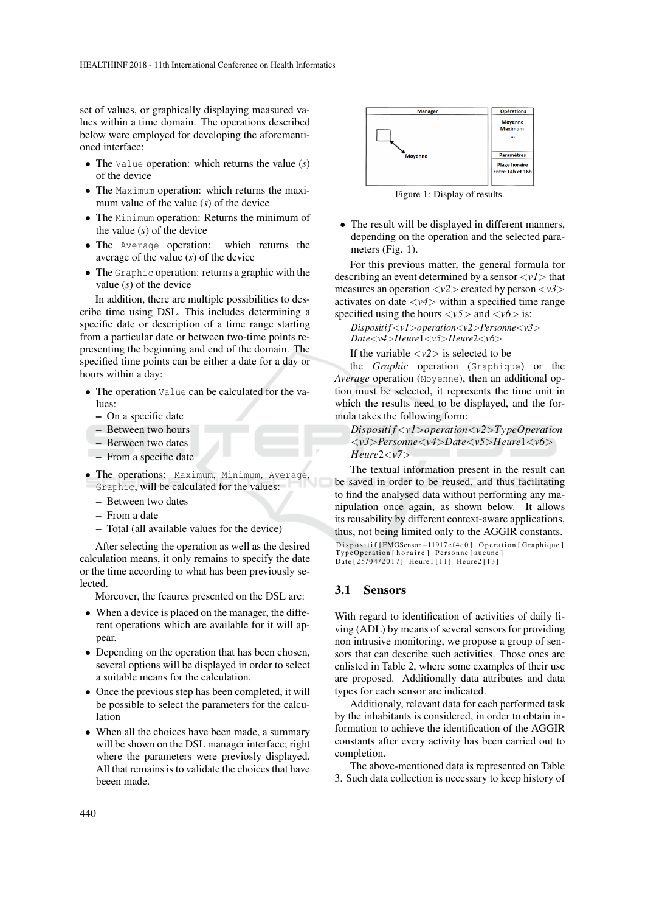set of values, or graphically displaying measured values within a time domain. The operations described below were employed for developing the aforementioned interface:

- The Value operation: which returns the value (*s*) of the device
- The Maximum operation: which returns the maximum value of the value (*s*) of the device
- The Minimum operation: Returns the minimum of the value (*s*) of the device
- The Average operation: which returns the average of the value (*s*) of the device
- The Graphic operation: returns a graphic with the value (*s*) of the device

In addition, there are multiple possibilities to describe time using DSL. This includes determining a specific date or description of a time range starting from a particular date or between two-time points representing the beginning and end of the domain. The specified time points can be either a date for a day or hours within a day:

- The operation Value can be calculated for the values:
	- On a specific date
	- Between two hours
	- Between two dates
	- From a specific date
- The operations: Maximum, Minimum, Average, Graphic, will be calculated for the values:
	- Between two dates
	- From a date
	- Total (all available values for the device)

After selecting the operation as well as the desired calculation means, it only remains to specify the date or the time according to what has been previously selected.

Moreover, the feaures presented on the DSL are:

- When a device is placed on the manager, the different operations which are available for it will appear.
- Depending on the operation that has been chosen, several options will be displayed in order to select a suitable means for the calculation.
- Once the previous step has been completed, it will be possible to select the parameters for the calculation
- When all the choices have been made, a summary will be shown on the DSL manager interface; right where the parameters were previosly displayed. All that remains is to validate the choices that have beeen made.



Figure 1: Display of results.

• The result will be displayed in different manners, depending on the operation and the selected parameters (Fig. 1).

For this previous matter, the general formula for describing an event determined by a sensor <*v1*> that measures an operation <*v2*> created by person <*v3*> activates on date  $\langle v4 \rangle$  within a specified time range specified using the hours  $\langle v5 \rangle$  and  $\langle v6 \rangle$  is:

*Dispositi f*<*v1*>*operation*<*v2*>*Personne*<*v3*> *Date*<*v4*>*Heure*1<*v5*>*Heure*2<*v6*>

If the variable  $\langle v^2 \rangle$  is selected to be

the *Graphic* operation (Graphique) or the *Average* operation (Moyenne), then an additional option must be selected, it represents the time unit in which the results need to be displayed, and the formula takes the following form:

*Dispositi f*<*v1*>*operation*<*v2*>*TypeOperation* <*v3*>*Personne*<*v4*>*Date*<*v5*>*Heure*1<*v6*> *Heure*2<*v7*>

The textual information present in the result can be saved in order to be reused, and thus facilitating to find the analysed data without performing any manipulation once again, as shown below. It allows its reusability by different context-aware applications, thus, not being limited only to the AGGIR constants. Dispositif [EMGSensor-11917 ef4c0] Operation [Graphique] Type Operation [horaire ] Personne [aucune ] Date [25/04/2017] Heure1 [11] Heure2 [13]

#### 3.1 Sensors

With regard to identification of activities of daily living (ADL) by means of several sensors for providing non intrusive monitoring, we propose a group of sensors that can describe such activities. Those ones are enlisted in Table 2, where some examples of their use are proposed. Additionally data attributes and data types for each sensor are indicated.

Additionaly, relevant data for each performed task by the inhabitants is considered, in order to obtain information to achieve the identification of the AGGIR constants after every activity has been carried out to completion.

The above-mentioned data is represented on Table 3. Such data collection is necessary to keep history of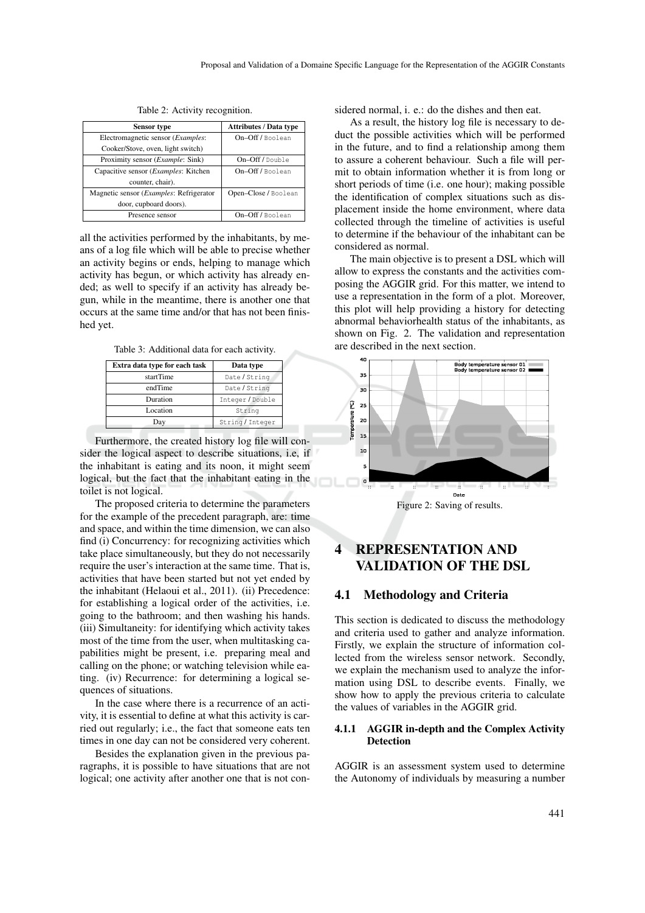| Sensor type                                      | <b>Attributes / Data type</b> |
|--------------------------------------------------|-------------------------------|
| Electromagnetic sensor ( <i>Examples</i> :       | On-Off/Boolean                |
| Cooker/Stove, oven, light switch)                |                               |
| Proximity sensor ( <i>Example</i> : Sink)        | $On$ -Off $/$ Double          |
| Capacitive sensor ( <i>Examples</i> : Kitchen    | On-Off / Boolean              |
| counter, chair).                                 |                               |
| Magnetic sensor ( <i>Examples</i> : Refrigerator | Open-Close / Boolean          |
| door, cupboard doors).                           |                               |
| Presence sensor                                  | On-Off/Boolean                |

Table 2: Activity recognition.

all the activities performed by the inhabitants, by means of a log file which will be able to precise whether an activity begins or ends, helping to manage which activity has begun, or which activity has already ended; as well to specify if an activity has already begun, while in the meantime, there is another one that occurs at the same time and/or that has not been finished yet.

Table 3: Additional data for each activity.

| Extra data type for each task | Data type        |  |  |
|-------------------------------|------------------|--|--|
| startTime                     | Date/String      |  |  |
| endTime                       | Date/String      |  |  |
| Duration                      | Integer / Double |  |  |
| Location                      | String           |  |  |
| Day                           | String / Integer |  |  |

Furthermore, the created history log file will consider the logical aspect to describe situations, i.e, if the inhabitant is eating and its noon, it might seem logical, but the fact that the inhabitant eating in the toilet is not logical.

The proposed criteria to determine the parameters for the example of the precedent paragraph, are: time and space, and within the time dimension, we can also find (i) Concurrency: for recognizing activities which take place simultaneously, but they do not necessarily require the user's interaction at the same time. That is, activities that have been started but not yet ended by the inhabitant (Helaoui et al., 2011). (ii) Precedence: for establishing a logical order of the activities, i.e. going to the bathroom; and then washing his hands. (iii) Simultaneity: for identifying which activity takes most of the time from the user, when multitasking capabilities might be present, i.e. preparing meal and calling on the phone; or watching television while eating. (iv) Recurrence: for determining a logical sequences of situations.

In the case where there is a recurrence of an activity, it is essential to define at what this activity is carried out regularly; i.e., the fact that someone eats ten times in one day can not be considered very coherent.

Besides the explanation given in the previous paragraphs, it is possible to have situations that are not logical; one activity after another one that is not considered normal, i. e.: do the dishes and then eat.

As a result, the history log file is necessary to deduct the possible activities which will be performed in the future, and to find a relationship among them to assure a coherent behaviour. Such a file will permit to obtain information whether it is from long or short periods of time (i.e. one hour); making possible the identification of complex situations such as displacement inside the home environment, where data collected through the timeline of activities is useful to determine if the behaviour of the inhabitant can be considered as normal.

The main objective is to present a DSL which will allow to express the constants and the activities composing the AGGIR grid. For this matter, we intend to use a representation in the form of a plot. Moreover, this plot will help providing a history for detecting abnormal behaviorhealth status of the inhabitants, as shown on Fig. 2. The validation and representation are described in the next section.



Figure 2: Saving of results.

# 4 REPRESENTATION AND VALIDATION OF THE DSL

### 4.1 Methodology and Criteria

This section is dedicated to discuss the methodology and criteria used to gather and analyze information. Firstly, we explain the structure of information collected from the wireless sensor network. Secondly, we explain the mechanism used to analyze the information using DSL to describe events. Finally, we show how to apply the previous criteria to calculate the values of variables in the AGGIR grid.

#### 4.1.1 AGGIR in-depth and the Complex Activity Detection

AGGIR is an assessment system used to determine the Autonomy of individuals by measuring a number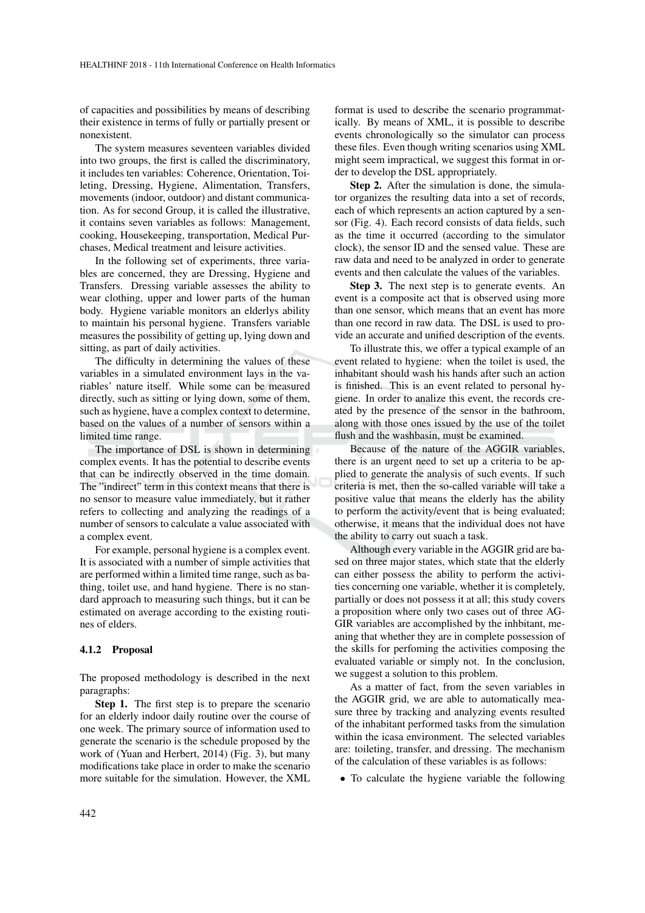of capacities and possibilities by means of describing their existence in terms of fully or partially present or nonexistent.

The system measures seventeen variables divided into two groups, the first is called the discriminatory, it includes ten variables: Coherence, Orientation, Toileting, Dressing, Hygiene, Alimentation, Transfers, movements (indoor, outdoor) and distant communication. As for second Group, it is called the illustrative, it contains seven variables as follows: Management, cooking, Housekeeping, transportation, Medical Purchases, Medical treatment and leisure activities.

In the following set of experiments, three variables are concerned, they are Dressing, Hygiene and Transfers. Dressing variable assesses the ability to wear clothing, upper and lower parts of the human body. Hygiene variable monitors an elderlys ability to maintain his personal hygiene. Transfers variable measures the possibility of getting up, lying down and sitting, as part of daily activities.

The difficulty in determining the values of these variables in a simulated environment lays in the variables' nature itself. While some can be measured directly, such as sitting or lying down, some of them, such as hygiene, have a complex context to determine, based on the values of a number of sensors within a limited time range.

The importance of DSL is shown in determining complex events. It has the potential to describe events that can be indirectly observed in the time domain. The "indirect" term in this context means that there is no sensor to measure value immediately, but it rather refers to collecting and analyzing the readings of a number of sensors to calculate a value associated with a complex event.

For example, personal hygiene is a complex event. It is associated with a number of simple activities that are performed within a limited time range, such as bathing, toilet use, and hand hygiene. There is no standard approach to measuring such things, but it can be estimated on average according to the existing routines of elders.

#### 4.1.2 Proposal

The proposed methodology is described in the next paragraphs:

Step 1. The first step is to prepare the scenario for an elderly indoor daily routine over the course of one week. The primary source of information used to generate the scenario is the schedule proposed by the work of (Yuan and Herbert, 2014) (Fig. 3), but many modifications take place in order to make the scenario more suitable for the simulation. However, the XML

format is used to describe the scenario programmatically. By means of XML, it is possible to describe events chronologically so the simulator can process these files. Even though writing scenarios using XML might seem impractical, we suggest this format in order to develop the DSL appropriately.

Step 2. After the simulation is done, the simulator organizes the resulting data into a set of records, each of which represents an action captured by a sensor (Fig. 4). Each record consists of data fields, such as the time it occurred (according to the simulator clock), the sensor ID and the sensed value. These are raw data and need to be analyzed in order to generate events and then calculate the values of the variables.

Step 3. The next step is to generate events. An event is a composite act that is observed using more than one sensor, which means that an event has more than one record in raw data. The DSL is used to provide an accurate and unified description of the events.

To illustrate this, we offer a typical example of an event related to hygiene: when the toilet is used, the inhabitant should wash his hands after such an action is finished. This is an event related to personal hygiene. In order to analize this event, the records created by the presence of the sensor in the bathroom, along with those ones issued by the use of the toilet flush and the washbasin, must be examined.

Because of the nature of the AGGIR variables, there is an urgent need to set up a criteria to be applied to generate the analysis of such events. If such criteria is met, then the so-called variable will take a positive value that means the elderly has the ability to perform the activity/event that is being evaluated; otherwise, it means that the individual does not have the ability to carry out suach a task.

Although every variable in the AGGIR grid are based on three major states, which state that the elderly can either possess the ability to perform the activities concerning one variable, whether it is completely, partially or does not possess it at all; this study covers a proposition where only two cases out of three AG-GIR variables are accomplished by the inhbitant, meaning that whether they are in complete possession of the skills for perfoming the activities composing the evaluated variable or simply not. In the conclusion, we suggest a solution to this problem.

As a matter of fact, from the seven variables in the AGGIR grid, we are able to automatically measure three by tracking and analyzing events resulted of the inhabitant performed tasks from the simulation within the icasa environment. The selected variables are: toileting, transfer, and dressing. The mechanism of the calculation of these variables is as follows:

• To calculate the hygiene variable the following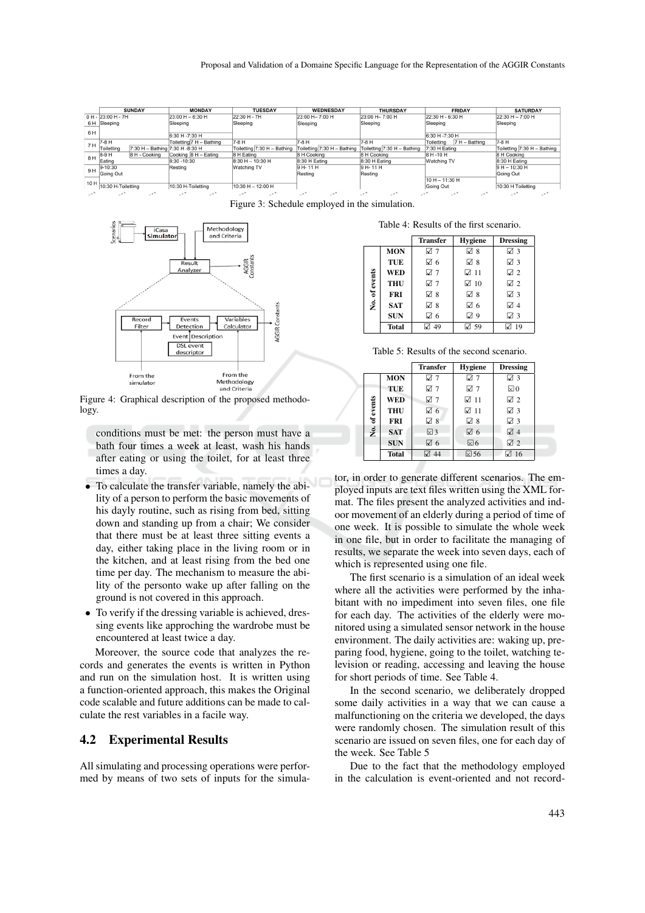|      |                                                                                                  | <b>SUNDAY</b>                   | <b>MONDAY</b>            | <b>TUESDAY</b>              | <b>WEDNESDAY</b>            | <b>THURSDAY</b>               | <b>FRIDAY</b>               | <b>SATURDAY</b>             |
|------|--------------------------------------------------------------------------------------------------|---------------------------------|--------------------------|-----------------------------|-----------------------------|-------------------------------|-----------------------------|-----------------------------|
|      | $ 0 H - 23:00 H - 7H$                                                                            |                                 | $23:00 H - 6:30 H$       | 22:30 H - 7H                | 23:00 H- 7:00 H             | 23:00 H-7:00 H                | 22:30 H - 6:30 H            | $22:30 H - 7:00 H$          |
|      | 6 H Sleeping                                                                                     |                                 | Sleeping                 | Sleeping                    | Sleeping                    | Sleeping                      | Sleeping                    | Sleeping                    |
| 6 H  |                                                                                                  |                                 | 6:30 H-7:30 H            |                             |                             |                               | 6:30 H -7:30 H              |                             |
| 7 H  | $7-8$ H                                                                                          |                                 | Toiletting 7 H - Bathing | $7-8$ H                     | 7-8 H                       | 7-8 H                         | 7 H - Bathing<br>Toiletting | $7-8$ H                     |
|      | Toiletting                                                                                       | 7:30 H - Bathing 7:30 H -8:30 H |                          | Toiletting 7:30 H - Bathing | Toiletting 7:30 H - Bathing | Toiletting $7:30 H -$ Bathing | 7:30 H Eating               | Toiletting 7:30 H - Bathing |
| 8 H  | 8-9 H                                                                                            | 8 H - Cooking                   | Cooking 8 H - Eating     | 8 H Eating                  | 8 H Cooking                 | 8 H Cooking                   | 8 H - 10 H                  | 8 H Cooking                 |
|      | Eating                                                                                           |                                 | 8:30 - 10:30             | $8:30 H - 10:30 H$          | 8:30 H Eating               | 8:30 H Eating                 | Watching TV                 | $8:30 H$ Eating             |
| 9 H  | 9-10:30                                                                                          |                                 | Resting                  | Watching TV                 | 9 H-11 H                    | 9 H-11 H                      |                             | $9 H - 10:30 H$             |
|      | Going Out                                                                                        |                                 |                          |                             | Resting                     | Resting                       |                             | Going Out                   |
| 10 H |                                                                                                  |                                 |                          |                             |                             |                               | $10 H - 11:30 H$            |                             |
|      | 10:30 H-Toiletting                                                                               |                                 | 10:30 H-Toiletting       | $10:30 H - 12:00 H$         |                             |                               | Going Out                   | 10:30 H Toiletting          |
|      | $\sim$ $\sim$ $\sim$<br>and the state of the con-<br>$\sim$<br>and the state of the state of the |                                 |                          |                             |                             |                               |                             |                             |

Figure 3: Schedule employed in the simulation.



Figure 4: Graphical description of the proposed methodology.

- conditions must be met: the person must have a bath four times a week at least, wash his hands after eating or using the toilet, for at least three times a day.
- To calculate the transfer variable, namely the ability of a person to perform the basic movements of his dayly routine, such as rising from bed, sitting down and standing up from a chair; We consider that there must be at least three sitting events a day, either taking place in the living room or in the kitchen, and at least rising from the bed one time per day. The mechanism to measure the ability of the personto wake up after falling on the ground is not covered in this approach.
- To verify if the dressing variable is achieved, dressing events like approching the wardrobe must be encountered at least twice a day.

Moreover, the source code that analyzes the records and generates the events is written in Python and run on the simulation host. It is written using a function-oriented approach, this makes the Original code scalable and future additions can be made to calculate the rest variables in a facile way.

### 4.2 Experimental Results

All simulating and processing operations were performed by means of two sets of inputs for the simula-

Table 4: Results of the first scenario.

|               |              | <b>Transfer</b> | <b>Hygiene</b> | <b>Dressing</b>  |
|---------------|--------------|-----------------|----------------|------------------|
| No. of events | <b>MON</b>   | 1√7             | $\sqrt{8}$     | $\sqrt{3}$       |
|               | <b>TUE</b>   | ৰ 6             | $\sqrt{8}$     | $\sqrt{3}$       |
|               | <b>WED</b>   | न्न 7           | $\sqrt{11}$    | $\sqrt{2}$       |
|               | <b>THU</b>   | া 7             | $\sqrt{ }10$   | $\sqrt{2}$       |
|               | <b>FRI</b>   | $\nabla 8$      | $\sqrt{8}$     | $\sqrt{3}$       |
|               | <b>SAT</b>   | $\nabla 8$      | $\sqrt{6}$     | $\sqrt{4}$       |
|               | <b>SUN</b>   | $\sqrt{6}$      | ☑ 9            | $\overline{d}$ 3 |
|               | <b>Total</b> | ৰ 49            | $\boxtimes$ 59 | ☑ 19             |

Table 5: Results of the second scenario.

|               |              | <b>Transfer</b>  | <b>Hygiene</b> | <b>Dressing</b> |
|---------------|--------------|------------------|----------------|-----------------|
|               | <b>MON</b>   | 1√7              | $\sqrt{7}$     | $\sqrt{3}$      |
|               | TUE          | 1√7              | 1√7            | $\nabla$ 0      |
|               | <b>WED</b>   | ☑ 7              | $\sqrt{11}$    | $\sqrt{2}$      |
| No. of events | <b>THU</b>   | ☑ 6              | $\sqrt{11}$    | $\sqrt{3}$      |
|               | <b>FRI</b>   | $\overline{M}$ 8 | $\sqrt{8}$     | $\sqrt{3}$      |
|               | <b>SAT</b>   | $\boxtimes$ 3    | $\sqrt{3}$ 6   | $\sqrt{4}$      |
|               | <b>SUN</b>   | $\sqrt{3}$ 6     | $\boxtimes$ 6  | $\sqrt{2}$      |
|               | <b>Total</b> | ৰ 44             | $\boxtimes$ 56 | $\sqrt{2}$ 16   |

tor, in order to generate different scenarios. The employed inputs are text files written using the XML format. The files present the analyzed activities and indoor movement of an elderly during a period of time of one week. It is possible to simulate the whole week in one file, but in order to facilitate the managing of results, we separate the week into seven days, each of which is represented using one file.

The first scenario is a simulation of an ideal week where all the activities were performed by the inhabitant with no impediment into seven files, one file for each day. The activities of the elderly were monitored using a simulated sensor network in the house environment. The daily activities are: waking up, preparing food, hygiene, going to the toilet, watching television or reading, accessing and leaving the house for short periods of time. See Table 4.

In the second scenario, we deliberately dropped some daily activities in a way that we can cause a malfunctioning on the criteria we developed, the days were randomly chosen. The simulation result of this scenario are issued on seven files, one for each day of the week. See Table 5

Due to the fact that the methodology employed in the calculation is event-oriented and not record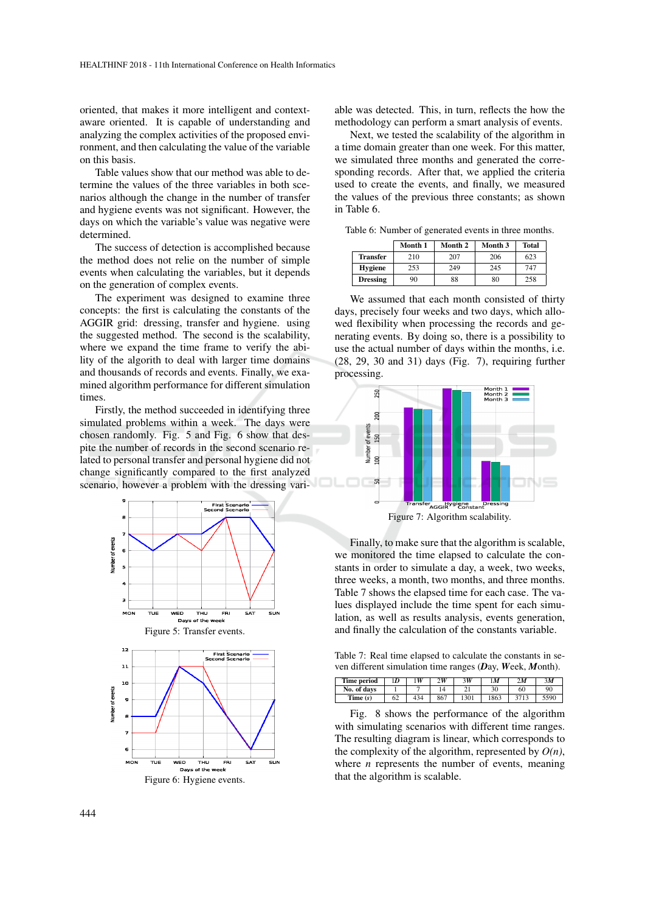oriented, that makes it more intelligent and contextaware oriented. It is capable of understanding and analyzing the complex activities of the proposed environment, and then calculating the value of the variable on this basis.

Table values show that our method was able to determine the values of the three variables in both scenarios although the change in the number of transfer and hygiene events was not significant. However, the days on which the variable's value was negative were determined.

The success of detection is accomplished because the method does not relie on the number of simple events when calculating the variables, but it depends on the generation of complex events.

The experiment was designed to examine three concepts: the first is calculating the constants of the AGGIR grid: dressing, transfer and hygiene. using the suggested method. The second is the scalability, where we expand the time frame to verify the ability of the algorith to deal with larger time domains and thousands of records and events. Finally, we examined algorithm performance for different simulation times.

Firstly, the method succeeded in identifying three simulated problems within a week. The days were chosen randomly. Fig. 5 and Fig. 6 show that despite the number of records in the second scenario related to personal transfer and personal hygiene did not change significantly compared to the first analyzed scenario, however a problem with the dressing vari-



able was detected. This, in turn, reflects the how the methodology can perform a smart analysis of events.

Next, we tested the scalability of the algorithm in a time domain greater than one week. For this matter, we simulated three months and generated the corresponding records. After that, we applied the criteria used to create the events, and finally, we measured the values of the previous three constants; as shown in Table 6.

Table 6: Number of generated events in three months.

|                 | Month 1 | Month 2 | Month 3 | <b>Total</b> |
|-----------------|---------|---------|---------|--------------|
| <b>Transfer</b> | 210     | 207     | 206     | 623          |
| <b>Hygiene</b>  | 253     | 249     | 245     | 747          |
| <b>Dressing</b> | 90      | 88      | 80      | 258          |

We assumed that each month consisted of thirty days, precisely four weeks and two days, which allowed flexibility when processing the records and generating events. By doing so, there is a possibility to use the actual number of days within the months, i.e. (28, 29, 30 and 31) days (Fig. 7), requiring further processing.



Finally, to make sure that the algorithm is scalable, we monitored the time elapsed to calculate the constants in order to simulate a day, a week, two weeks, three weeks, a month, two months, and three months. Table 7 shows the elapsed time for each case. The values displayed include the time spent for each simulation, as well as results analysis, events generation, and finally the calculation of the constants variable.

Table 7: Real time elapsed to calculate the constants in seven different simulation time ranges (*D*ay, *W*eek, *M*onth).

| Time period | D  | 1 W | 2W  | 3W   | 1M   | 2M   | 3M   |
|-------------|----|-----|-----|------|------|------|------|
| No. of days |    |     |     |      | 30   | 60   | 90   |
| Time(s)     | 62 | 434 | 867 | 1301 | 1863 | 3713 | 5590 |

Fig. 8 shows the performance of the algorithm with simulating scenarios with different time ranges. The resulting diagram is linear, which corresponds to the complexity of the algorithm, represented by  $O(n)$ , where *n* represents the number of events, meaning that the algorithm is scalable.